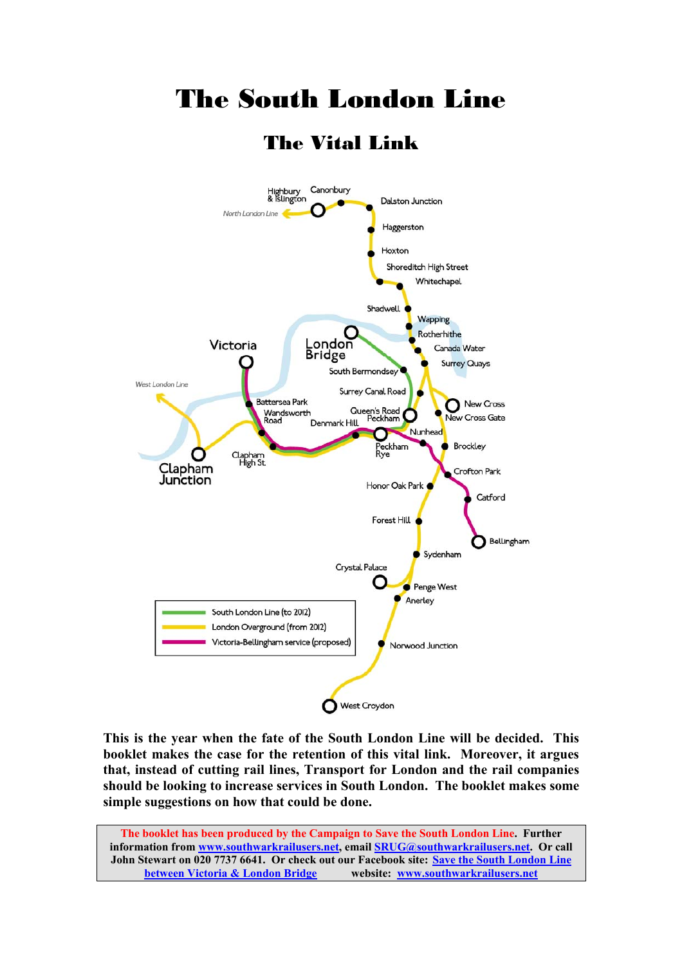

The South London Line

**This is the year when the fate of the South London Line will be decided. This booklet makes the case for the retention of this vital link. Moreover, it argues that, instead of cutting rail lines, Transport for London and the rail companies should be looking to increase services in South London. The booklet makes some simple suggestions on how that could be done.** 

**The booklet has been produced by the Campaign to Save the South London Line. Further information from www.southwarkrailusers.net, email SRUG@southwarkrailusers.net. Or call John Stewart on 020 7737 6641. Or check out our Facebook site: Save the South London Line between Victoria & London Bridge website: www.southwarkrailusers.net**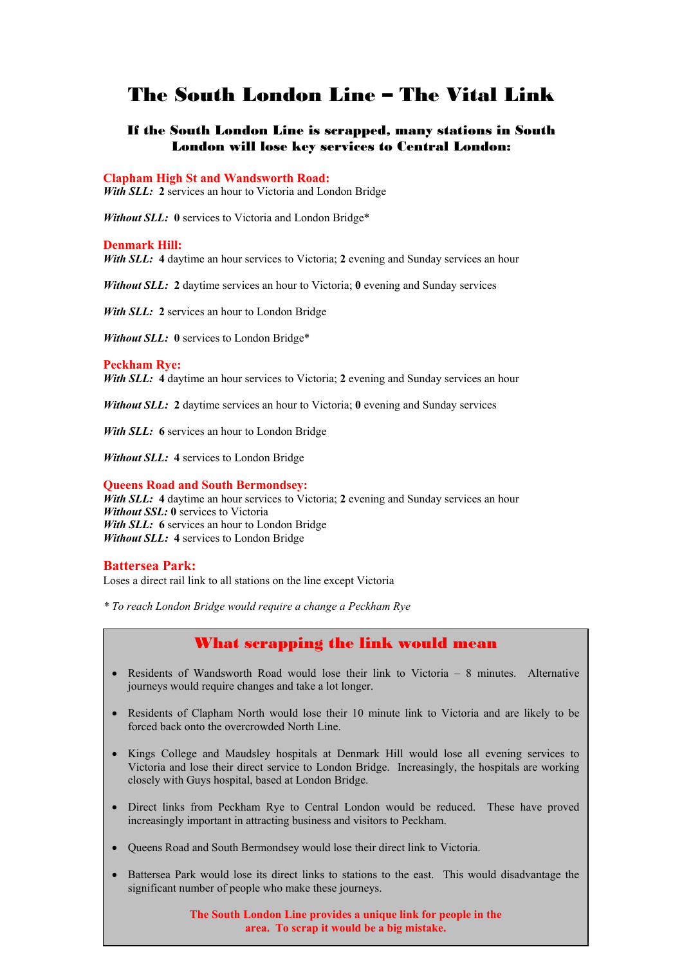## The South London Line – The Vital Link

## If the South London Line is scrapped, many stations in South London will lose key services to Central London:

#### **Clapham High St and Wandsworth Road:**

*With SLL:* **2** services an hour to Victoria and London Bridge

*Without SLL:* **0** services to Victoria and London Bridge\*

#### **Denmark Hill:**

*With SLL:* **4** daytime an hour services to Victoria; **2** evening and Sunday services an hour

*Without SLL:* 2 daytime services an hour to Victoria; 0 evening and Sunday services

*With SLL:* **2** services an hour to London Bridge

*Without SLL:* **0** services to London Bridge\*

#### **Peckham Rye:**

*With SLL:* **4** daytime an hour services to Victoria; **2** evening and Sunday services an hour

*Without SLL:* **2** daytime services an hour to Victoria; **0** evening and Sunday services

*With SLL:* **6** services an hour to London Bridge

*Without SLL:* **4** services to London Bridge

#### **Queens Road and South Bermondsey:**

*With SLL:* **4** daytime an hour services to Victoria; **2** evening and Sunday services an hour *Without SSL:* **0** services to Victoria *With SLL:* 6 services an hour to London Bridge *Without SLL:* **4** services to London Bridge

#### **Battersea Park:**

Loses a direct rail link to all stations on the line except Victoria

*\* To reach London Bridge would require a change a Peckham Rye* 

## What scrapping the link would mean

- Residents of Wandsworth Road would lose their link to Victoria 8 minutes. Alternative journeys would require changes and take a lot longer.
- Residents of Clapham North would lose their 10 minute link to Victoria and are likely to be forced back onto the overcrowded North Line.
- Kings College and Maudsley hospitals at Denmark Hill would lose all evening services to Victoria and lose their direct service to London Bridge. Increasingly, the hospitals are working closely with Guys hospital, based at London Bridge.
- Direct links from Peckham Rye to Central London would be reduced. These have proved increasingly important in attracting business and visitors to Peckham.
- Queens Road and South Bermondsey would lose their direct link to Victoria.
- Battersea Park would lose its direct links to stations to the east. This would disadvantage the significant number of people who make these journeys.

**The South London Line provides a unique link for people in the area. To scrap it would be a big mistake.**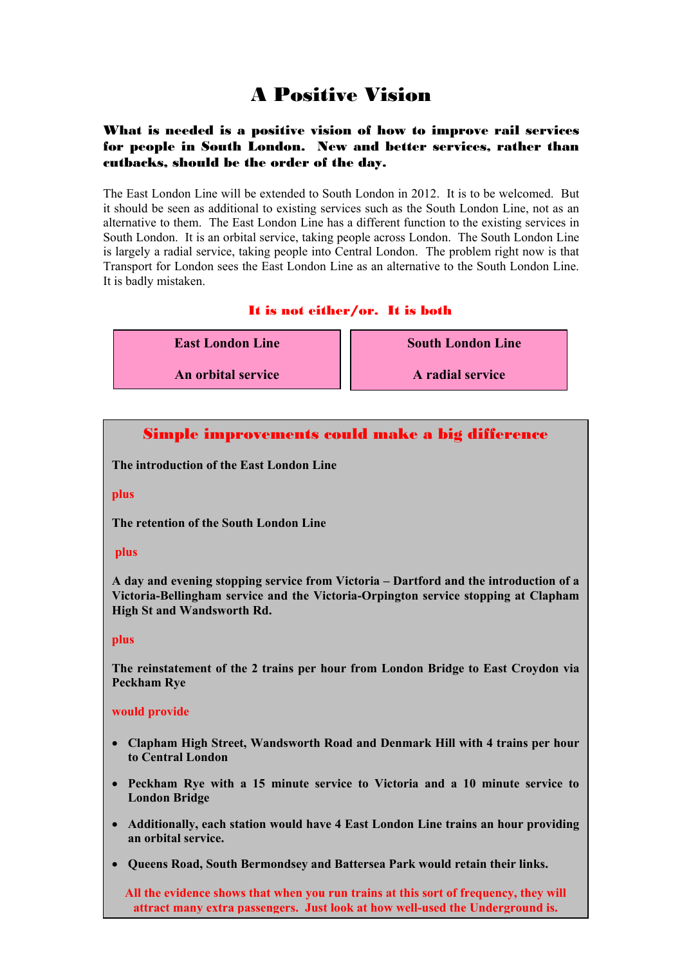# A Positive Vision

## What is needed is a positive vision of how to improve rail services for people in South London. New and better services, rather than cutbacks, should be the order of the day.

The East London Line will be extended to South London in 2012. It is to be welcomed. But it should be seen as additional to existing services such as the South London Line, not as an alternative to them. The East London Line has a different function to the existing services in South London. It is an orbital service, taking people across London. The South London Line is largely a radial service, taking people into Central London. The problem right now is that Transport for London sees the East London Line as an alternative to the South London Line. It is badly mistaken.

## It is not either/or. It is both

**East London Line** 

**An orbital service** 

 **South London Line** 

**A radial service** 

## Simple improvements could make a big difference

**The introduction of the East London Line** 

## **plus**

**The retention of the South London Line** 

## **plus**

**A day and evening stopping service from Victoria – Dartford and the introduction of a Victoria-Bellingham service and the Victoria-Orpington service stopping at Clapham High St and Wandsworth Rd.** 

## **plus**

**The reinstatement of the 2 trains per hour from London Bridge to East Croydon via Peckham Rye** 

#### **would provide**

- **Clapham High Street, Wandsworth Road and Denmark Hill with 4 trains per hour to Central London**
- **Peckham Rye with a 15 minute service to Victoria and a 10 minute service to London Bridge**
- **Additionally, each station would have 4 East London Line trains an hour providing an orbital service.**
- **Queens Road, South Bermondsey and Battersea Park would retain their links.**

**All the evidence shows that when you run trains at this sort of frequency, they will attract many extra passengers. Just look at how well-used the Underground is.**